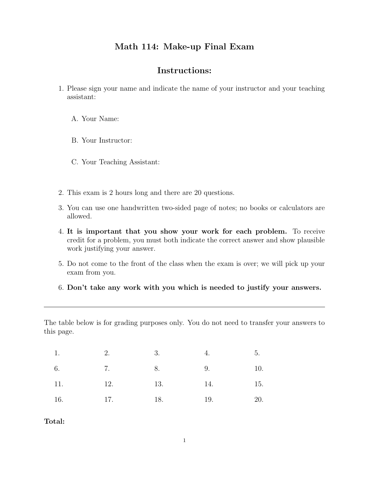## Math 114: Make-up Final Exam

## Instructions:

- 1. Please sign your name and indicate the name of your instructor and your teaching assistant:
	- A. Your Name:
	- B. Your Instructor:
	- C. Your Teaching Assistant:
- 2. This exam is 2 hours long and there are 20 questions.
- 3. You can use one handwritten two-sided page of notes; no books or calculators are allowed.
- 4. It is important that you show your work for each problem. To receive credit for a problem, you must both indicate the correct answer and show plausible work justifying your answer.
- 5. Do not come to the front of the class when the exam is over; we will pick up your exam from you.
- 6. Don't take any work with you which is needed to justify your answers.

The table below is for grading purposes only. You do not need to transfer your answers to this page.

| 1.                     | 2.      | 3.  | 4.  | 5.  |
|------------------------|---------|-----|-----|-----|
| $\overline{7}$ .<br>6. | 8.      |     | 9.  | 10. |
| 11.                    | 12.     | 13. | 14. | 15. |
| 16.                    | 17. 18. | 19. |     | 20. |

## Total: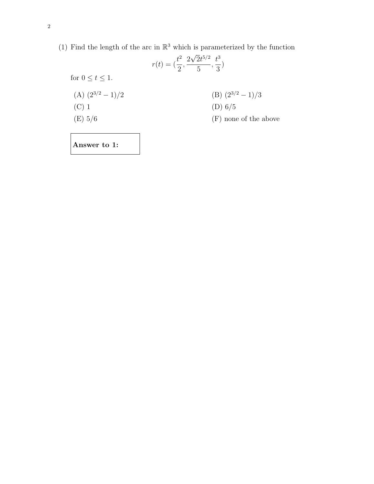(1) Find the length of the arc in  $\mathbb{R}^3$  which is parameterized by the function

|                         | $r(t) = (\frac{t^2}{2}, \frac{2\sqrt{2}t^{5/2}}{5}, \frac{t^3}{3})$ |
|-------------------------|---------------------------------------------------------------------|
| for $0 \le t \le 1$ .   |                                                                     |
| $(A)$ $(2^{3/2} - 1)/2$ | (B) $(2^{3/2} - 1)/3$                                               |
| $(C)$ 1                 | (D) $6/5$                                                           |
| (E) 5/6                 | (F) none of the above                                               |
|                         |                                                                     |

Answer to 1: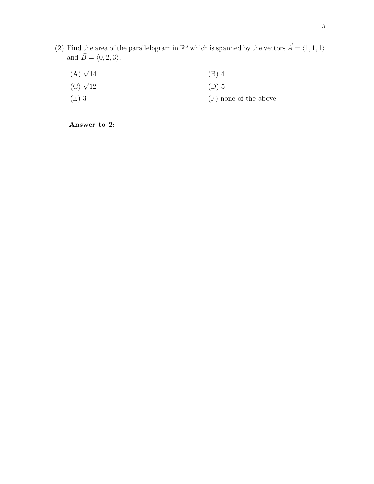(2) Find the area of the parallelogram in  $\mathbb{R}^3$  which is spanned by the vectors  $\vec{A} = \langle 1, 1, 1 \rangle$ and  $\vec{B} = \langle 0, 2, 3 \rangle$ .

| $(A)$ $\sqrt{14}$ | $(B)$ 4               |
|-------------------|-----------------------|
| (C) $\sqrt{12}$   | $(D)$ 5               |
| $(E)$ 3           | (F) none of the above |
|                   |                       |

Answer to 2: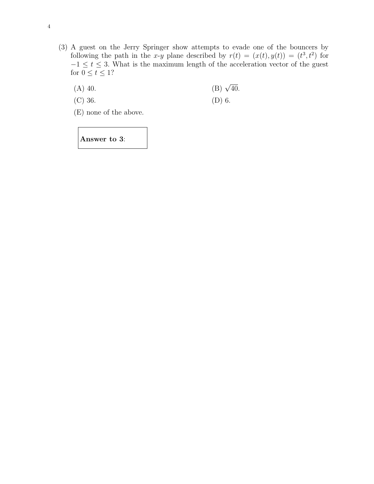- (3) A guest on the Jerry Springer show attempts to evade one of the bouncers by following the path in the x-y plane described by  $r(t) = (x(t), y(t)) = (t^3, t^2)$  for  $-1 \leq t \leq 3$ . What is the maximum length of the acceleration vector of the guest for  $0\leq t\leq 1?$ 
	- $(A)$  40. (B)  $\sqrt{40}$ .
	- (C) 36. (D) 6.

(E) none of the above.

Answer to 3: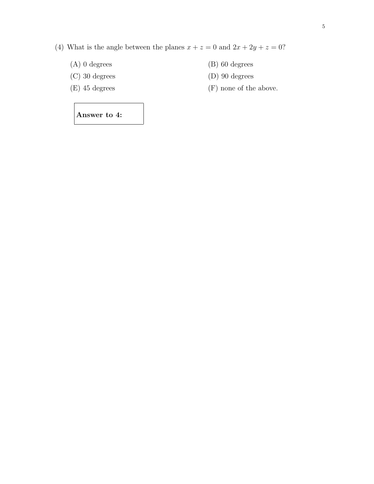- (4) What is the angle between the planes  $x + z = 0$  and  $2x + 2y + z = 0$ ?
	-
	- (C) 30 degrees (D) 90 degrees
	-
	- (A) 0 degrees (B) 60 degrees
		-
	- (E) 45 degrees (F) none of the above.

Answer to 4: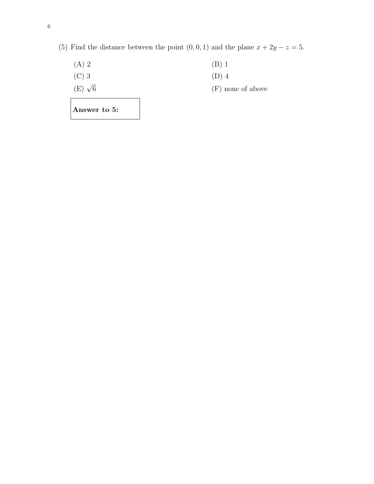| Answer to 5:     |                     |
|------------------|---------------------|
| $(E)$ $\sqrt{6}$ | $(F)$ none of above |
| $(C)$ 3          | $(D)$ 4             |
| $(A)$ 2          | $(B)$ 1             |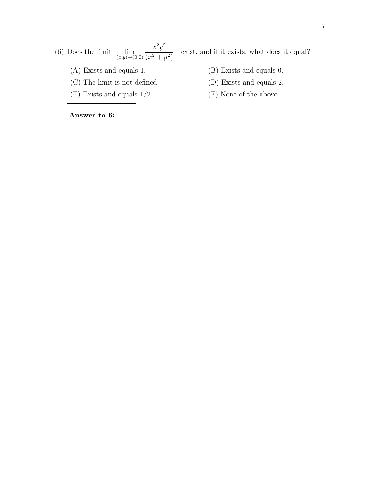$(6)$  Does the limit  $(x,y) \rightarrow (0,0)$  $x^2y^2$  $(x^2+y^2)$ 

- (A) Exists and equals 1. (B) Exists and equals 0.
- (C) The limit is not defined. (D) Exists and equals 2.
- (E) Exists and equals  $1/2$ . (F) None of the above.

## Answer to 6:

- 
- 
-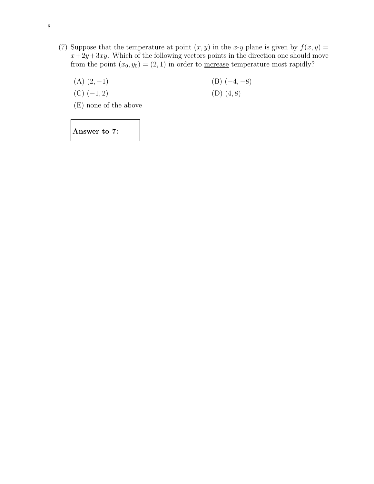- (7) Suppose that the temperature at point  $(x, y)$  in the x-y plane is given by  $f(x, y) =$  $x+2y+3xy$ . Which of the following vectors points in the direction one should move from the point  $(x_0, y_0) = (2, 1)$  in order to <u>increase</u> temperature most rapidly?
	- (A)  $(2, -1)$  (B)  $(-4, -8)$ (C)  $(-1, 2)$  (D)  $(4, 8)$ (E) none of the above

Answer to 7: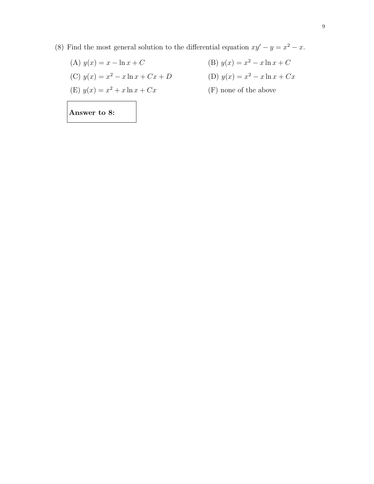(8) Find the most general solution to the differential equation  $xy' - y = x^2 - x$ .

$$
(A) y(x) = x - \ln x + C
$$

(C) 
$$
y(x) = x^2 - x \ln x + Cx + L
$$

(E) 
$$
y(x) = x^2 + x \ln x + Cx
$$

- (A)  $y(x) = x \ln x + C$  (B)  $y(x) = x^2 x \ln x + C$  $2^2 - x \ln x + Cx + D$  (D)  $y(x) = x^2 - x \ln x + Cx$ 
	- $x^2 + x \ln x + Cx$  (F) none of the above

Answer to 8: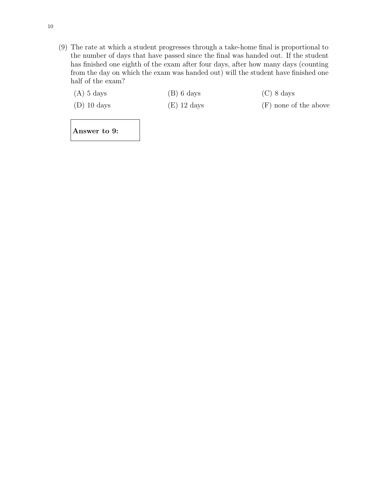- (9) The rate at which a student progresses through a take-home final is proportional to the number of days that have passed since the final was handed out. If the student has finished one eighth of the exam after four days, after how many days (counting from the day on which the exam was handed out) will the student have finished one half of the exam?
	- (A) 5 days (B) 6 days (C) 8 days
		-
	- (D) 10 days (E) 12 days (F) none of the above

Answer to 9: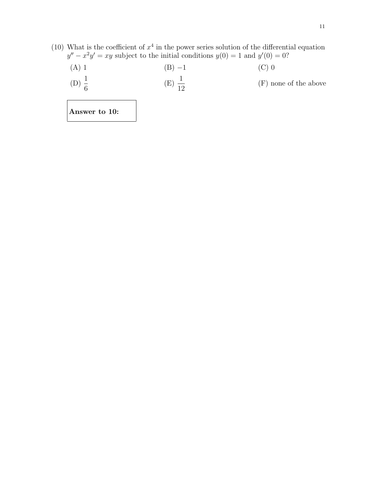- (10) What is the coefficient of  $x^4$  in the power series solution of the differential equation  $y'' - x^2y' = xy$  subject to the initial conditions  $y(0) = 1$  and  $y'(0) = 0$ ?
	- (A) 1 (B)  $-1$  (C) 0  $(D) \frac{1}{c}$ 6  $(E) \frac{1}{16}$ 12 (F) none of the above

Answer to 10: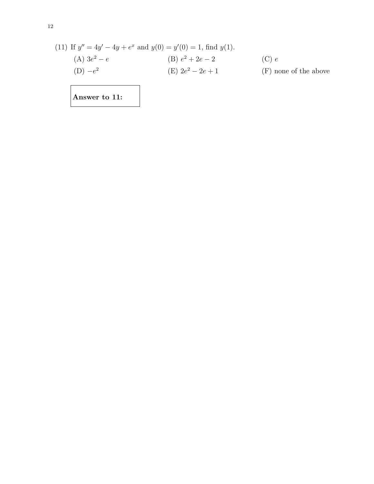(11) If 
$$
y'' = 4y' - 4y + e^x
$$
 and  $y(0) = y'(0) = 1$ , find  $y(1)$ .  
\n(A)  $3e^2 - e$   
\n(B)  $e^2 + 2e - 2$   
\n(C)  $e$   
\n(D)  $-e^2$   
\n(E)  $2e^2 - 2e + 1$   
\n(E) none of the above

Answer to 11: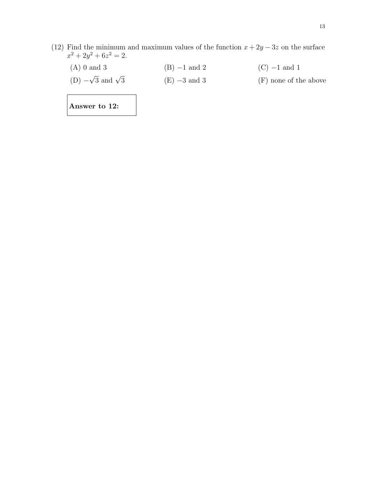(12) Find the minimum and maximum values of the function  $x + 2y - 3z$  on the surface  $x^2 + 2y^2 + 6z^2 = 2.$ 

| $(A)$ 0 and 3                  | $(B)$ -1 and 2 | $(C)$ -1 and 1        |
|--------------------------------|----------------|-----------------------|
| (D) $-\sqrt{3}$ and $\sqrt{3}$ | $(E)$ -3 and 3 | (F) none of the above |

Answer to 12: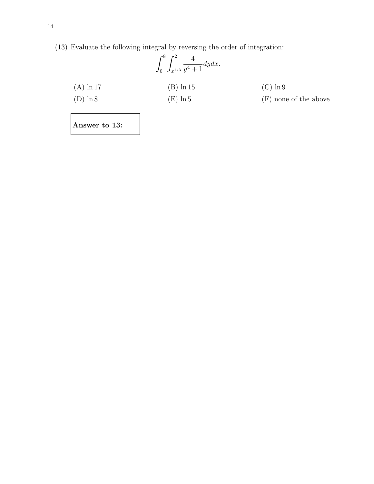(13) Evaluate the following integral by reversing the order of integration:

|              | $\int_0^8 \int_{x^{1/3}}^2 \frac{4}{y^4+1} dy dx.$ |                       |
|--------------|----------------------------------------------------|-----------------------|
| $(A) \ln 17$ | $(B) \ln 15$                                       | $(C) \ln 9$           |
| $(D) \ln 8$  | $(E) \ln 5$                                        | (F) none of the above |
|              |                                                    |                       |

Answer to 13: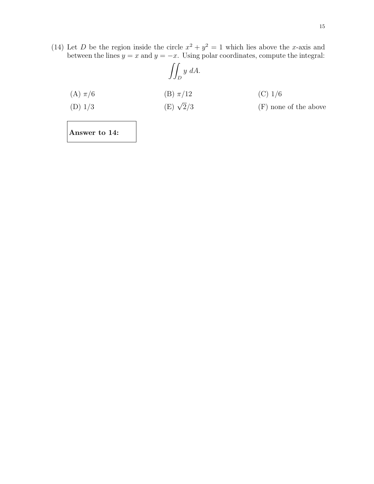(14) Let D be the region inside the circle  $x^2 + y^2 = 1$  which lies above the x-axis and between the lines  $y = x$  and  $y = -x$ . Using polar coordinates, compute the integral:

$$
\iint_D y \ dA.
$$
\n(A)  $\pi/6$ \n(B)  $\pi/12$ \n(C) 1/6\n(D) 1/3\n(E)  $\sqrt{2}/3$ \n(F) none of the above

Answer to 14: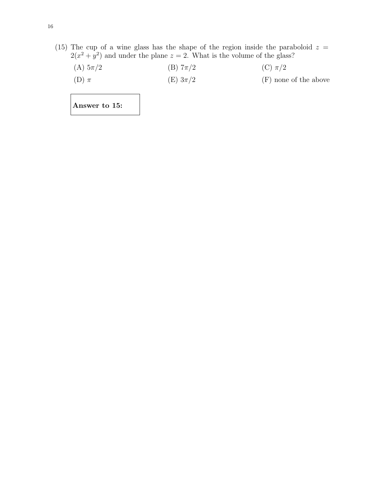(15) The cup of a wine glass has the shape of the region inside the paraboloid  $z =$  $2(x^2 + y^2)$  and under the plane  $z = 2$ . What is the volume of the glass?

| (A) $5\pi/2$ | (B) $7\pi/2$    | $(C)$ $\pi/2$         |
|--------------|-----------------|-----------------------|
| $(D)$ $\pi$  | $(E)$ 3 $\pi/2$ | (F) none of the above |

Answer to 15: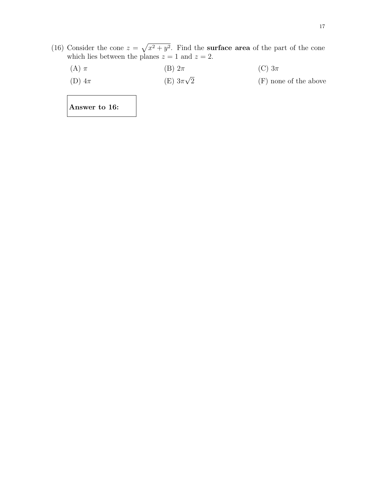- (16) Consider the cone  $z = \sqrt{x^2 + y^2}$ . Find the surface area of the part of the cone which lies between the planes  $z = 1$  and  $z = 2$ .
	- (A)  $\pi$  (B)  $2\pi$  (C)  $3\pi$ (D)  $4\pi$  (E)  $3\pi\sqrt{ }$  $(F)$  none of the above

Answer to 16: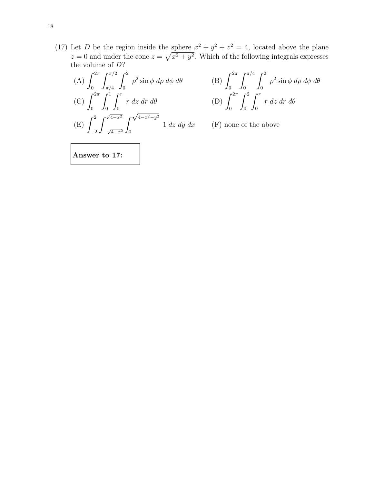(17) Let D be the region inside the sphere  $x^2 + y^2 + z^2 = 4$ , located above the plane  $z = 0$  and under the cone  $z = \sqrt{x^2 + y^2}$ . Which of the following integrals expresses the volume of  $D$ ?

(A) 
$$
\int_0^{2\pi} \int_{\pi/4}^{\pi/2} \int_0^2 \rho^2 \sin \phi \, d\rho \, d\phi \, d\theta
$$
 (B)  $\int_0^{2\pi}$   
\n(C)  $\int_0^{2\pi} \int_0^1 \int_0^r r \, dz \, dr \, d\theta$  (D)  $\int_0^{2\pi}$   
\n(E)  $\int_{-2}^2 \int_{-\sqrt{4-x^2}}^{\sqrt{4-x^2}} \int_0^{\sqrt{4-x^2-y^2}} 1 \, dz \, dy \, dx$  (F) none

0  $\int_0^{\pi/4}$  $\boldsymbol{0}$  $\int_0^2$ 0  $\rho^2 \sin \phi \ d\rho \ d\phi \ d\theta$  $\boldsymbol{0}$  $\int_0^2$ 0  $\int_0^r$ 0 r dz dr dθ

 $(F)$  none of the above

Answer to 17: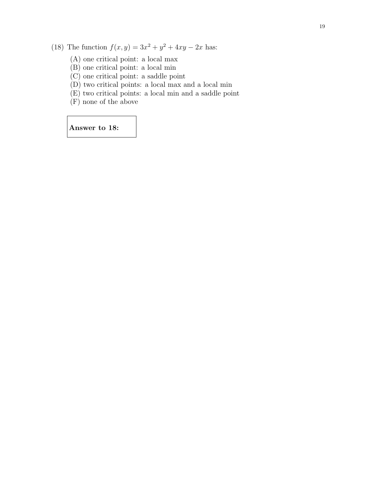(18) The function  $f(x, y) = 3x^2 + y^2 + 4xy - 2x$  has:

- (A) one critical point: a local max
- (B) one critical point: a local min
- (C) one critical point: a saddle point
- (D) two critical points: a local max and a local min
- (E) two critical points: a local min and a saddle point
- (F) none of the above

Answer to 18: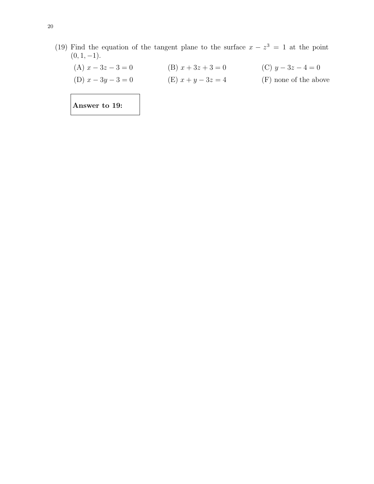(19) Find the equation of the tangent plane to the surface  $x - z^3 = 1$  at the point  $(0, 1, -1)$ .

| Answer to 19:        |                      |                       |
|----------------------|----------------------|-----------------------|
| (D) $x - 3y - 3 = 0$ | (E) $x + y - 3z = 4$ | (F) none of the above |
| (A) $x - 3z - 3 = 0$ | (B) $x + 3z + 3 = 0$ | (C) $y-3z-4=0$        |